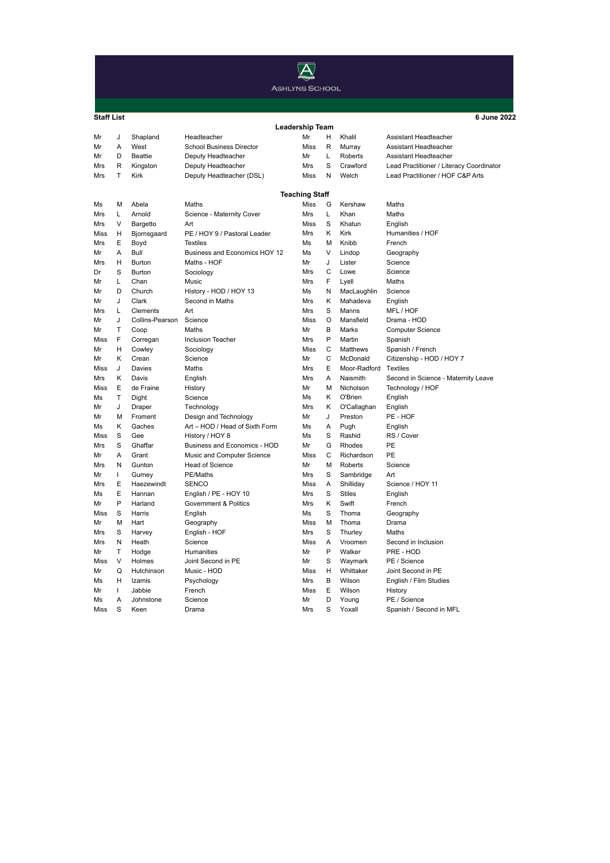

Learning Mentor (Secondment)

| <b>Staff List</b>      |              |                 |                                 |                       |         |               | 6 June 2022                              |  |  |  |  |  |
|------------------------|--------------|-----------------|---------------------------------|-----------------------|---------|---------------|------------------------------------------|--|--|--|--|--|
| <b>Leadership Team</b> |              |                 |                                 |                       |         |               |                                          |  |  |  |  |  |
| Mr                     | J            | Shapland        | Headteacher                     | Mr                    | H       | Khalil        | Assistant Headteacher                    |  |  |  |  |  |
| Mr                     | A            | West            | <b>School Business Director</b> | <b>Miss</b>           | R       | Murray        | Assistant Headteacher                    |  |  |  |  |  |
| Mr                     | D            | <b>Beattie</b>  | Deputy Headteacher              | Mr                    | L       | Roberts       | Assistant Headteacher                    |  |  |  |  |  |
| Mrs                    | R            | Kingston        | Deputy Headteacher              | Mrs                   | S       | Crawford      | Lead Practitioner / Literacy Coordinator |  |  |  |  |  |
| Mrs                    | T            | Kirk            | Deputy Headteacher (DSL)        | Miss                  | N       | Welch         | Lead Practitioner / HOF C&P Arts         |  |  |  |  |  |
|                        |              |                 |                                 | <b>Teaching Staff</b> |         |               |                                          |  |  |  |  |  |
| Ms                     | м            | Abela           | Maths                           | <b>Miss</b>           | G       | Kershaw       | Maths                                    |  |  |  |  |  |
| Mrs                    | Г            | Arnold          | Science - Maternity Cover       | Mrs                   | L       | Khan          | Maths                                    |  |  |  |  |  |
| Mrs                    | V            | Bargetto        | Art                             | Miss                  | S       | Khatun        | English                                  |  |  |  |  |  |
| Miss                   | Η            | Bjornsgaard     | PE / HOY 9 / Pastoral Leader    | Mrs                   | κ       | Kirk          | Humanities / HOF                         |  |  |  |  |  |
| Mrs                    | E            | Boyd            | <b>Textiles</b>                 | Ms                    | M       | Knibb         | French                                   |  |  |  |  |  |
| Mr                     | A            | Bull            | Business and Economics HOY 12   | Ms                    | $\vee$  | Lindop        | Geography                                |  |  |  |  |  |
| Mrs                    | н            | <b>Burton</b>   | Maths - HOF                     | Mr                    | J       | Lister        | Science                                  |  |  |  |  |  |
| Dr                     | S            | Burton          | Sociology                       | Mrs                   | С       | Lowe          | Science                                  |  |  |  |  |  |
| Mr                     | L            | Chan            | Music                           | Mrs                   | F       | Lyell         | Maths                                    |  |  |  |  |  |
| Mr                     | D            | Church          | History - HOD / HOY 13          | Ms                    | Ν       | MacLaughlin   | Science                                  |  |  |  |  |  |
| Mr                     | J            | Clark           | Second in Maths                 | Mrs                   | Κ       | Mahadeva      | English                                  |  |  |  |  |  |
| Mrs                    | L            | Clements        | Art                             | Mrs                   | S       | Manns         | MFL/HOF                                  |  |  |  |  |  |
| Mr                     | J            | Collins-Pearson | Science                         | <b>Miss</b>           | $\circ$ | Mansfield     | Drama - HOD                              |  |  |  |  |  |
| Mr                     | Т            | Coop            | Maths                           | Mr                    | B       | Marks         | <b>Computer Science</b>                  |  |  |  |  |  |
| Miss                   | F            | Corregan        | <b>Inclusion Teacher</b>        | Mrs                   | P       | Martin        | Spanish                                  |  |  |  |  |  |
| Mr                     | н            | Cowley          | Sociology                       | Miss                  | C       | Matthews      | Spanish / French                         |  |  |  |  |  |
| Mr                     | κ            | Crean           | Science                         | Mr                    | Ċ       | McDonald      | Citizenship - HOD / HOY 7                |  |  |  |  |  |
| Miss                   | J            | Davies          | Maths                           | Mrs                   | E       | Moor-Radford  | Textiles                                 |  |  |  |  |  |
| Mrs                    | κ            | Davis           | English                         | Mrs                   | Α       | Naismith      | Second in Science - Maternity Leave      |  |  |  |  |  |
| Miss                   | Ε            | de Fraine       | History                         | Mr                    | M       | Nicholson     | Technology / HOF                         |  |  |  |  |  |
| Ms                     | T            | Dight           | Science                         | Ms                    | κ       | O'Brien       | English                                  |  |  |  |  |  |
| Mr                     | J            | Draper          | Technology                      | Mrs                   | Κ       | O'Callaghan   | English                                  |  |  |  |  |  |
| Mr                     | м            | Froment         | Design and Technology           | Mr                    | J       | Preston       | PE - HOF                                 |  |  |  |  |  |
| Ms                     | κ            | Gaches          | Art - HOD / Head of Sixth Form  | Ms                    | A       | Pugh          | English                                  |  |  |  |  |  |
| Miss                   | S            | Gee             | History / HOY 8                 | Ms                    | S       | Rashid        | RS / Cover                               |  |  |  |  |  |
| Mrs                    | S            | Ghaffar         | Business and Economics - HOD    | Mr                    | G       | Rhodes        | PE                                       |  |  |  |  |  |
| Mr                     | Α            | Grant           | Music and Computer Science      | Miss                  | C       | Richardson    | PE                                       |  |  |  |  |  |
| Mrs                    | N            | Gunton          | <b>Head of Science</b>          | Mr                    | М       | Roberts       | Science                                  |  |  |  |  |  |
| Mr                     | T            | Gurney          | PE/Maths                        | Mrs                   | S       | Sambridge     | Art                                      |  |  |  |  |  |
| Mrs                    | E            | Haezewindt      | <b>SENCO</b>                    | <b>Miss</b>           | Α       | Shilliday     | Science / HOY 11                         |  |  |  |  |  |
| Ms                     | Ε            | Hannan          | English / PE - HOY 10           | Mrs                   | S       | <b>Stiles</b> | English                                  |  |  |  |  |  |
| Mr                     | P            | Harland         | Government & Politics           | Mrs                   | κ       | Swift         | French                                   |  |  |  |  |  |
| Miss                   | S            | Harris          | English                         | Ms                    | S       | Thoma         | Geography                                |  |  |  |  |  |
| Mr                     | M            | Hart            | Geography                       | Miss                  | M       | Thoma         | Drama                                    |  |  |  |  |  |
| Mrs                    | S            | Harvey          | English - HOF                   | Mrs                   | S       | Thurley       | Maths                                    |  |  |  |  |  |
| Mrs                    | N            | Heath           | Science                         | Miss                  | A       | Vroomen       | Second in Inclusion                      |  |  |  |  |  |
| Mr                     | Т            | Hodge           | Humanities                      | Mr                    | P       | Walker        | PRE - HOD                                |  |  |  |  |  |
| Miss                   | V            | Holmes          | Joint Second in PE              | Mr                    | S       | Waymark       | PE / Science                             |  |  |  |  |  |
| Mr                     | Q            | Hutchinson      | Music - HOD                     | Miss                  | Н       | Whittaker     | Joint Second in PE                       |  |  |  |  |  |
| Ms                     | Н            | Izamis          | Psychology                      | Mrs                   | B       | Wilson        | English / Film Studies                   |  |  |  |  |  |
| Mr                     | $\mathbf{I}$ | Jabbie          | French                          | Miss                  | E       | Wilson        | History                                  |  |  |  |  |  |
| Ms                     | A            | Johnstone       | Science                         | Mr                    | D       | Young         | PE / Science                             |  |  |  |  |  |
| Miss                   | S            | Keen            | Drama                           | Mrs                   | S       | Yoxall        | Spanish / Second in MFL                  |  |  |  |  |  |